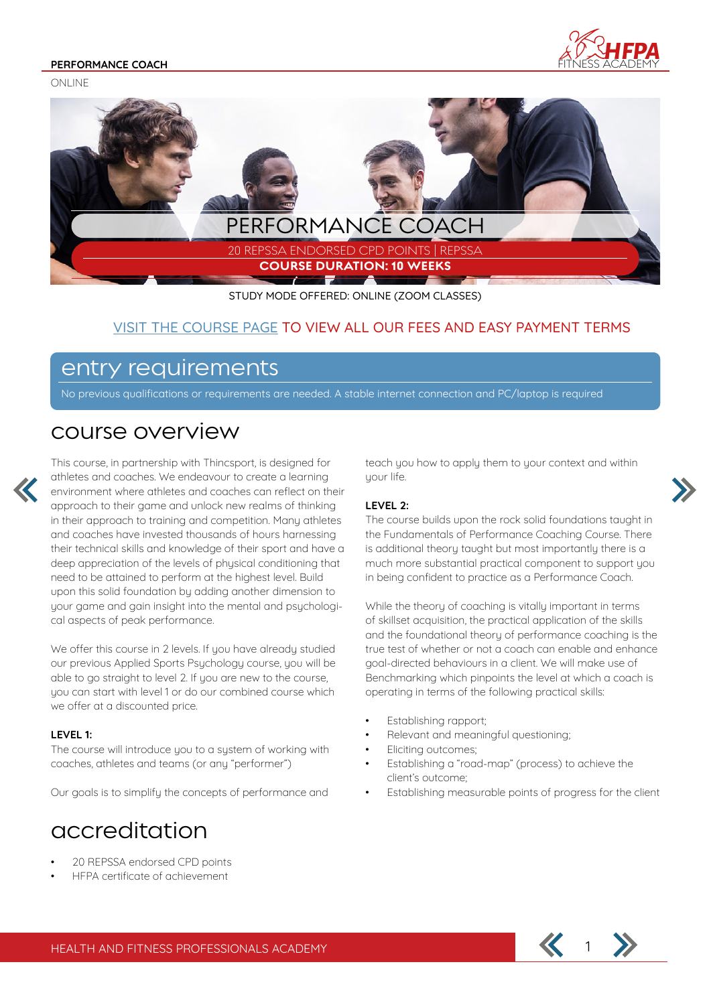ONLINE





STUDY MODE OFFERED: ONLINE (ZOOM CLASSES)

### VISIT THE COURSE PAGE TO VIEW ALL OUR FEES AND EASY PAYMENT TERMS

## entry requirements

No previous qualifications or requirements are needed. A stable internet connection and PC/laptop is required

## course overview



This course, in partnership with Thincsport, is designed for athletes and coaches. We endeavour to create a learning environment where athletes and coaches can reflect on their approach to their game and unlock new realms of thinking in their approach to training and competition. Many athletes and coaches have invested thousands of hours harnessing their technical skills and knowledge of their sport and have a deep appreciation of the levels of physical conditioning that need to be attained to perform at the highest level. Build upon this solid foundation by adding another dimension to your game and gain insight into the mental and psychological aspects of peak performance.

We offer this course in 2 levels. If you have already studied our previous Applied Sports Psychology course, you will be able to go straight to level 2. If you are new to the course, you can start with level 1 or do our combined course which we offer at a discounted price.

#### **LEVEL 1:**

The course will introduce you to a system of working with coaches, athletes and teams (or any "performer")

Our goals is to simplify the concepts of performance and

## accreditation

- 20 REPSSA endorsed CPD points
- HFPA certificate of achievement

teach you how to apply them to your context and within uour life.

#### **LEVEL 2:**

The course builds upon the rock solid foundations taught in the Fundamentals of Performance Coaching Course. There is additional theory taught but most importantly there is a much more substantial practical component to support you in being confident to practice as a Performance Coach.

While the theory of coaching is vitally important in terms of skillset acquisition, the practical application of the skills and the foundational theory of performance coaching is the true test of whether or not a coach can enable and enhance goal-directed behaviours in a client. We will make use of Benchmarking which pinpoints the level at which a coach is operating in terms of the following practical skills:

- Establishing rapport;
- Relevant and meaningful questioning;
- Eliciting outcomes;
- Establishing a "road-map" (process) to achieve the client's outcome;
- Establishing measurable points of progress for the client